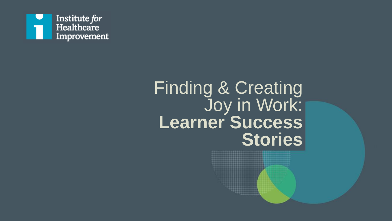

# Finding & Creating Joy in Work: **Learner Success Stories**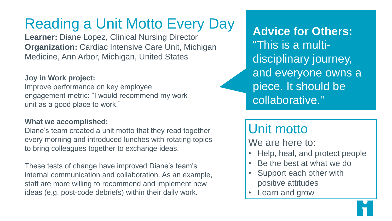# Reading a Unit Motto Every Day

**Learner:** Diane Lopez, Clinical Nursing Director **Organization:** Cardiac Intensive Care Unit, Michigan Medicine, Ann Arbor, Michigan, United States

### **Joy in Work project:**

Improve performance on key employee engagement metric: "I would recommend my work unit as a good place to work."

#### **What we accomplished:**

Diane's team created a unit motto that they read together every morning and introduced lunches with rotating topics to bring colleagues together to exchange ideas.

These tests of change have improved Diane's team's internal communication and collaboration. As an example, staff are more willing to recommend and implement new ideas (e.g. post-code debriefs) within their daily work.

**Advice for Others:** "This is a multidisciplinary journey, and everyone owns a piece. It should be collaborative."

### Unit motto

We are here to:

- Help, heal, and protect people
- Be the best at what we do
- Support each other with positive attitudes
- Learn and grow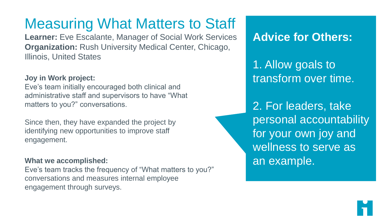# Measuring What Matters to Staff

**Learner:** Eve Escalante, Manager of Social Work Services **Organization:** Rush University Medical Center, Chicago, Illinois, United States

### **Joy in Work project:**

Eve's team initially encouraged both clinical and administrative staff and supervisors to have "What matters to you?" conversations.

Since then, they have expanded the project by identifying new opportunities to improve staff engagement.

#### **What we accomplished:**

Eve's team tracks the frequency of "What matters to you?" conversations and measures internal employee engagement through surveys.

**Advice for Others:**

1. Allow goals to transform over time.

2. For leaders, take personal accountability for your own joy and wellness to serve as an example.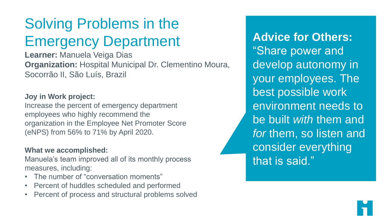## Solving Problems in the Emergency Department

**Learner:** Manuela Veiga Dias **Organization:** Hospital Municipal Dr. Clementino Moura, Socorrão II, São Luís, Brazil

#### **Joy in Work project:**

Increase the percent of emergency department employees who highly recommend the organization in the Employee Net Promoter Score (eNPS) from 56% to 71% by April 2020.

#### **What we accomplished:**

Manuela's team improved all of its monthly process measures, including:

- The number of "conversation moments"
- Percent of huddles scheduled and performed
- Percent of process and structural problems solved

**Advice for Others:** "Share power and develop autonomy in your employees. The best possible work environment needs to be built *with* them and *for* them, so listen and consider everything that is said."